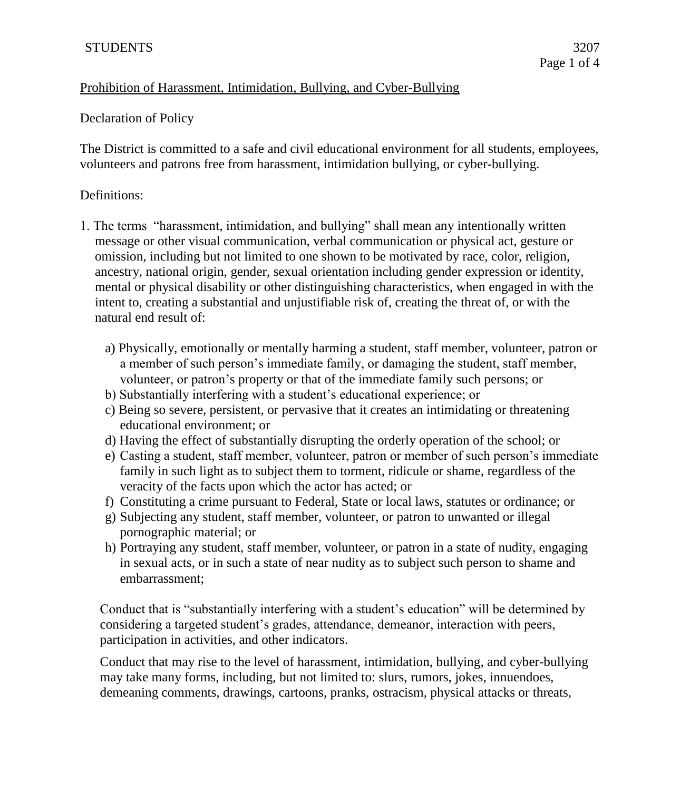## Prohibition of Harassment, Intimidation, Bullying, and Cyber-Bullying

## Declaration of Policy

The District is committed to a safe and civil educational environment for all students, employees, volunteers and patrons free from harassment, intimidation bullying, or cyber-bullying.

## Definitions:

- 1. The terms "harassment, intimidation, and bullying" shall mean any intentionally written message or other visual communication, verbal communication or physical act, gesture or omission, including but not limited to one shown to be motivated by race, color, religion, ancestry, national origin, gender, sexual orientation including gender expression or identity, mental or physical disability or other distinguishing characteristics, when engaged in with the intent to, creating a substantial and unjustifiable risk of, creating the threat of, or with the natural end result of:
	- a) Physically, emotionally or mentally harming a student, staff member, volunteer, patron or a member of such person's immediate family, or damaging the student, staff member, volunteer, or patron's property or that of the immediate family such persons; or
	- b) Substantially interfering with a student's educational experience; or
	- c) Being so severe, persistent, or pervasive that it creates an intimidating or threatening educational environment; or
	- d) Having the effect of substantially disrupting the orderly operation of the school; or
	- e) Casting a student, staff member, volunteer, patron or member of such person's immediate family in such light as to subject them to torment, ridicule or shame, regardless of the veracity of the facts upon which the actor has acted; or
	- f) Constituting a crime pursuant to Federal, State or local laws, statutes or ordinance; or
	- g) Subjecting any student, staff member, volunteer, or patron to unwanted or illegal pornographic material; or
	- h) Portraying any student, staff member, volunteer, or patron in a state of nudity, engaging in sexual acts, or in such a state of near nudity as to subject such person to shame and embarrassment;

Conduct that is "substantially interfering with a student's education" will be determined by considering a targeted student's grades, attendance, demeanor, interaction with peers, participation in activities, and other indicators.

Conduct that may rise to the level of harassment, intimidation, bullying, and cyber-bullying may take many forms, including, but not limited to: slurs, rumors, jokes, innuendoes, demeaning comments, drawings, cartoons, pranks, ostracism, physical attacks or threats,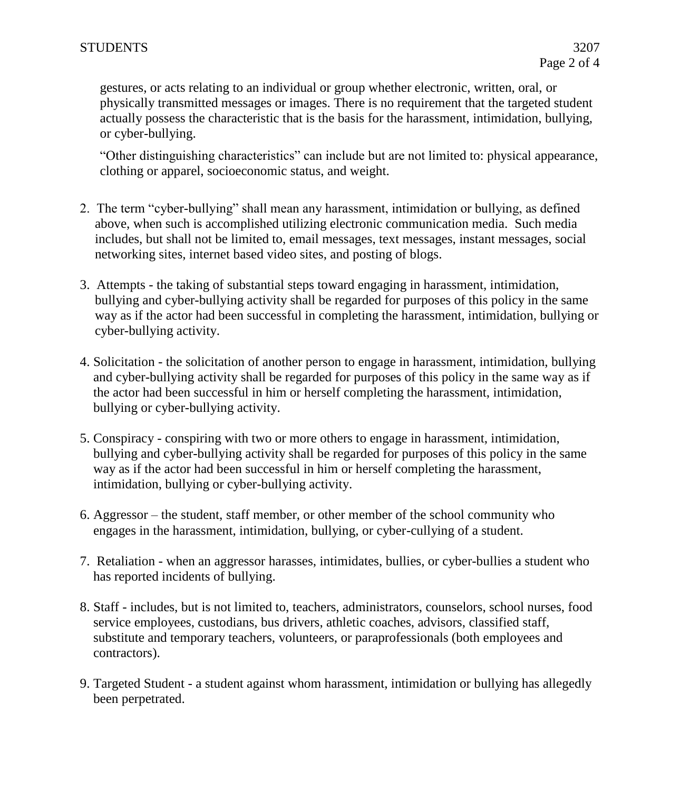gestures, or acts relating to an individual or group whether electronic, written, oral, or physically transmitted messages or images. There is no requirement that the targeted student actually possess the characteristic that is the basis for the harassment, intimidation, bullying, or cyber-bullying.

"Other distinguishing characteristics" can include but are not limited to: physical appearance, clothing or apparel, socioeconomic status, and weight.

- 2. The term "cyber-bullying" shall mean any harassment, intimidation or bullying, as defined above, when such is accomplished utilizing electronic communication media. Such media includes, but shall not be limited to, email messages, text messages, instant messages, social networking sites, internet based video sites, and posting of blogs.
- 3. Attempts the taking of substantial steps toward engaging in harassment, intimidation, bullying and cyber-bullying activity shall be regarded for purposes of this policy in the same way as if the actor had been successful in completing the harassment, intimidation, bullying or cyber-bullying activity.
- 4. Solicitation the solicitation of another person to engage in harassment, intimidation, bullying and cyber-bullying activity shall be regarded for purposes of this policy in the same way as if the actor had been successful in him or herself completing the harassment, intimidation, bullying or cyber-bullying activity.
- 5. Conspiracy conspiring with two or more others to engage in harassment, intimidation, bullying and cyber-bullying activity shall be regarded for purposes of this policy in the same way as if the actor had been successful in him or herself completing the harassment, intimidation, bullying or cyber-bullying activity.
- 6. Aggressor the student, staff member, or other member of the school community who engages in the harassment, intimidation, bullying, or cyber-cullying of a student.
- 7. Retaliation when an aggressor harasses, intimidates, bullies, or cyber-bullies a student who has reported incidents of bullying.
- 8. Staff includes, but is not limited to, teachers, administrators, counselors, school nurses, food service employees, custodians, bus drivers, athletic coaches, advisors, classified staff, substitute and temporary teachers, volunteers, or paraprofessionals (both employees and contractors).
- 9. Targeted Student a student against whom harassment, intimidation or bullying has allegedly been perpetrated.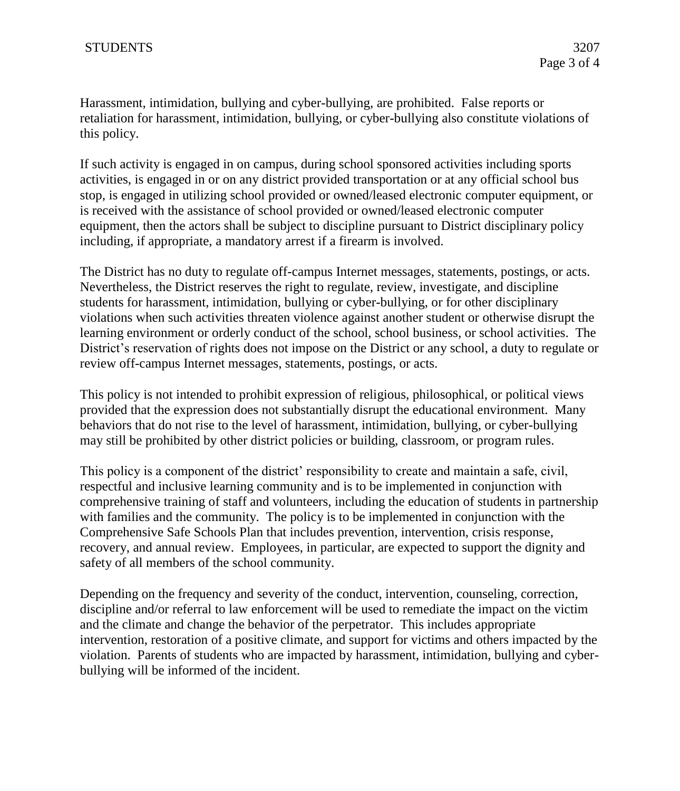Harassment, intimidation, bullying and cyber-bullying, are prohibited. False reports or retaliation for harassment, intimidation, bullying, or cyber-bullying also constitute violations of this policy.

If such activity is engaged in on campus, during school sponsored activities including sports activities, is engaged in or on any district provided transportation or at any official school bus stop, is engaged in utilizing school provided or owned/leased electronic computer equipment, or is received with the assistance of school provided or owned/leased electronic computer equipment, then the actors shall be subject to discipline pursuant to District disciplinary policy including, if appropriate, a mandatory arrest if a firearm is involved.

The District has no duty to regulate off-campus Internet messages, statements, postings, or acts. Nevertheless, the District reserves the right to regulate, review, investigate, and discipline students for harassment, intimidation, bullying or cyber-bullying, or for other disciplinary violations when such activities threaten violence against another student or otherwise disrupt the learning environment or orderly conduct of the school, school business, or school activities. The District's reservation of rights does not impose on the District or any school, a duty to regulate or review off-campus Internet messages, statements, postings, or acts.

This policy is not intended to prohibit expression of religious, philosophical, or political views provided that the expression does not substantially disrupt the educational environment. Many behaviors that do not rise to the level of harassment, intimidation, bullying, or cyber-bullying may still be prohibited by other district policies or building, classroom, or program rules.

This policy is a component of the district' responsibility to create and maintain a safe, civil, respectful and inclusive learning community and is to be implemented in conjunction with comprehensive training of staff and volunteers, including the education of students in partnership with families and the community. The policy is to be implemented in conjunction with the Comprehensive Safe Schools Plan that includes prevention, intervention, crisis response, recovery, and annual review. Employees, in particular, are expected to support the dignity and safety of all members of the school community.

Depending on the frequency and severity of the conduct, intervention, counseling, correction, discipline and/or referral to law enforcement will be used to remediate the impact on the victim and the climate and change the behavior of the perpetrator. This includes appropriate intervention, restoration of a positive climate, and support for victims and others impacted by the violation. Parents of students who are impacted by harassment, intimidation, bullying and cyberbullying will be informed of the incident.